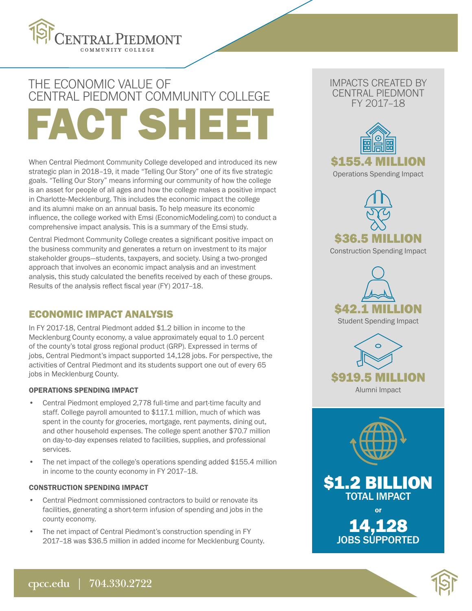

# FACT SHEI THE ECONOMIC VALUE OF CENTRAL PIEDMONT COMMUNITY COLLEGE

When Central Piedmont Community College developed and introduced its new strategic plan in 2018–19, it made "Telling Our Story" one of its five strategic goals. "Telling Our Story" means informing our community of how the college is an asset for people of all ages and how the college makes a positive impact in Charlotte-Mecklenburg. This includes the economic impact the college and its alumni make on an annual basis. To help measure its economic influence, the college worked with Emsi (EconomicModeling.com) to conduct a comprehensive impact analysis. This is a summary of the Emsi study.

Central Piedmont Community College creates a significant positive impact on the business community and generates a return on investment to its major stakeholder groups—students, taxpayers, and society. Using a two-pronged approach that involves an economic impact analysis and an investment analysis, this study calculated the benefits received by each of these groups. Results of the analysis reflect fiscal year (FY) 2017–18.

## ECONOMIC IMPACT ANALYSIS

In FY 2017-18, Central Piedmont added \$1.2 billion in income to the Mecklenburg County economy, a value approximately equal to 1.0 percent of the county's total gross regional product (GRP). Expressed in terms of jobs, Central Piedmont's impact supported 14,128 jobs. For perspective, the activities of Central Piedmont and its students support one out of every 65 jobs in Mecklenburg County.

## OPERATIONS SPENDING IMPACT

- Central Piedmont employed 2,778 full-time and part-time faculty and staff. College payroll amounted to \$117.1 million, much of which was spent in the county for groceries, mortgage, rent payments, dining out, and other household expenses. The college spent another \$70.7 million on day-to-day expenses related to facilities, supplies, and professional services.
- The net impact of the college's operations spending added \$155.4 million in income to the county economy in FY 2017–18.

#### CONSTRUCTION SPENDING IMPACT

- Central Piedmont commissioned contractors to build or renovate its facilities, generating a short-term infusion of spending and jobs in the county economy.
- The net impact of Central Piedmont's construction spending in FY 2017–18 was \$36.5 million in added income for Mecklenburg County.

## IMPACTS CREATED BY CENTRAL PIEDMONT FY 2017–18